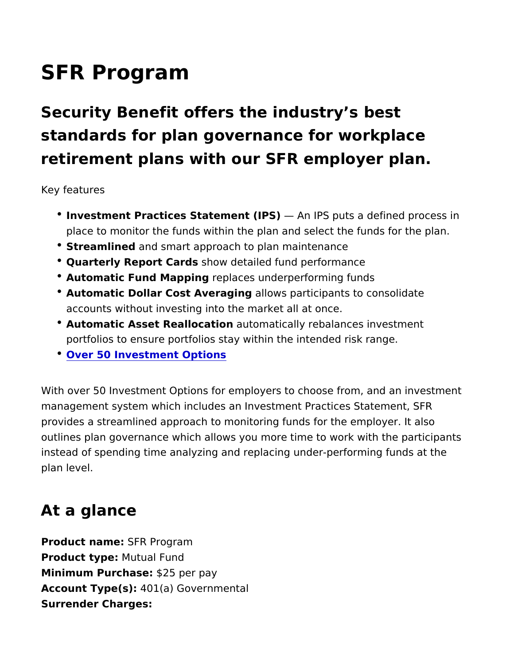## SFR Program

Security Benefit offers the industry s best standards for plan governance for workplace retirement plans with our SFR employer pla

Key features

- **.** Investment Practices Statement AIrP SFPS puts a defined process place to monitor the funds within the plan and select the fund
- Streamline and smart approach to plan maintenance
- Quarterly Report Cashobosw detailed fund performance
- Automatic Fund Mapprienglaces underperforming funds
- Automatic Dollar Cost Averaaldonngs participants to consolidate accounts without investing into the market all at once.
- Automatic Asset Reallocatitom atically rebalances investment portfolios to ensure portfolios stay within the intended risk ra
- [Over 50 Investment Op](https://www.veritas-solutions.net/SecurityBenefit/api/materials/download.aspx?stocknumber=411032142)tions

With over 50 Investment Options for employers to choose from, and management system which includes an Investment Practices State provides a streamlined approach to monitoring funds for the empl outlines plan governance which allows you more time to work with instead of spending time analyzing and replacing under-performin plan level.

## At a glance

Product nam **& FR** Program Product typeMutual Fund  $Minimum$  Purchasse $2:5$  per pay Account Type(\$):1(a) Governmental Surrender Charges: